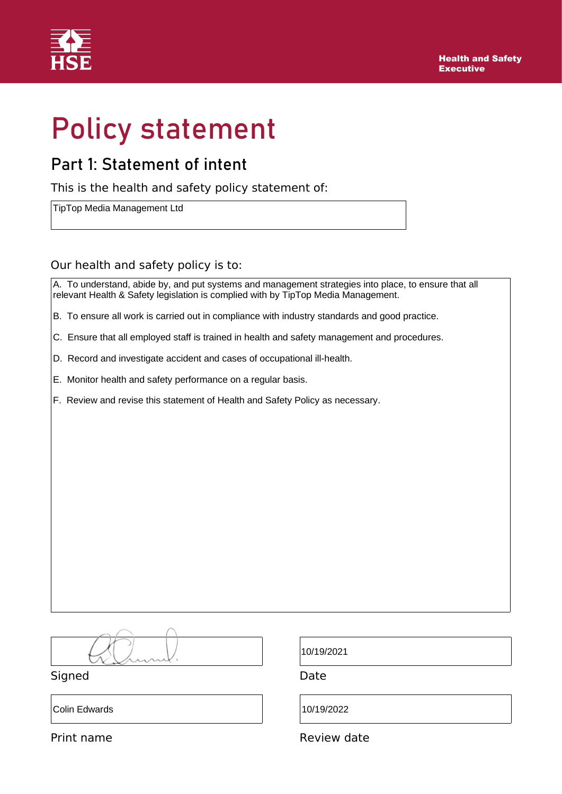

# Policy statement

### Part 1: Statement of intent

This is the health and safety policy statement of:

TipTop Media Management Ltd

### Our health and safety policy is to:

A. To understand, abide by, and put systems and management strategies into place, to ensure that all relevant Health & Safety legislation is complied with by TipTop Media Management.

- B. To ensure all work is carried out in compliance with industry standards and good practice.
- C. Ensure that all employed staff is trained in health and safety management and procedures.
- D. Record and investigate accident and cases of occupational ill-health.
- E. Monitor health and safety performance on a regular basis.
- F. Review and revise this statement of Health and Safety Policy as necessary.

Signed Date

Colin Edwards 10/19/2022

10/19/2021

Print name **Review date**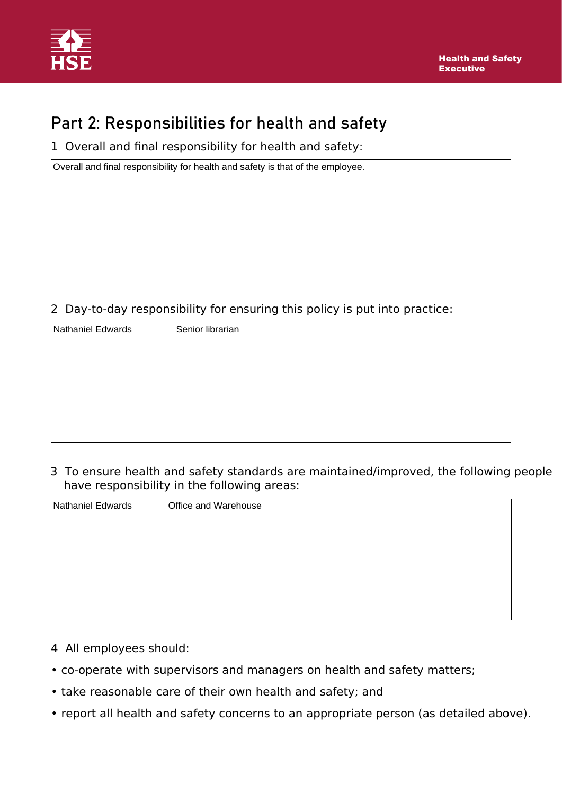

## Part 2: Responsibilities for health and safety

1 Overall and final responsibility for health and safety:

Overall and final responsibility for health and safety is that of the employee.

2 Day-to-day responsibility for ensuring this policy is put into practice:

| Nathaniel Edwards | Senior librarian |  |
|-------------------|------------------|--|
|                   |                  |  |
|                   |                  |  |
|                   |                  |  |
|                   |                  |  |
|                   |                  |  |
|                   |                  |  |

3 To ensure health and safety standards are maintained/improved, the following people have responsibility in the following areas:

| Nathaniel Edwards | Office and Warehouse |
|-------------------|----------------------|
|                   |                      |
|                   |                      |
|                   |                      |
|                   |                      |
|                   |                      |
|                   |                      |
|                   |                      |

- 4 All employees should:
- co-operate with supervisors and managers on health and safety matters;
- take reasonable care of their own health and safety; and
- report all health and safety concerns to an appropriate person (as detailed above).